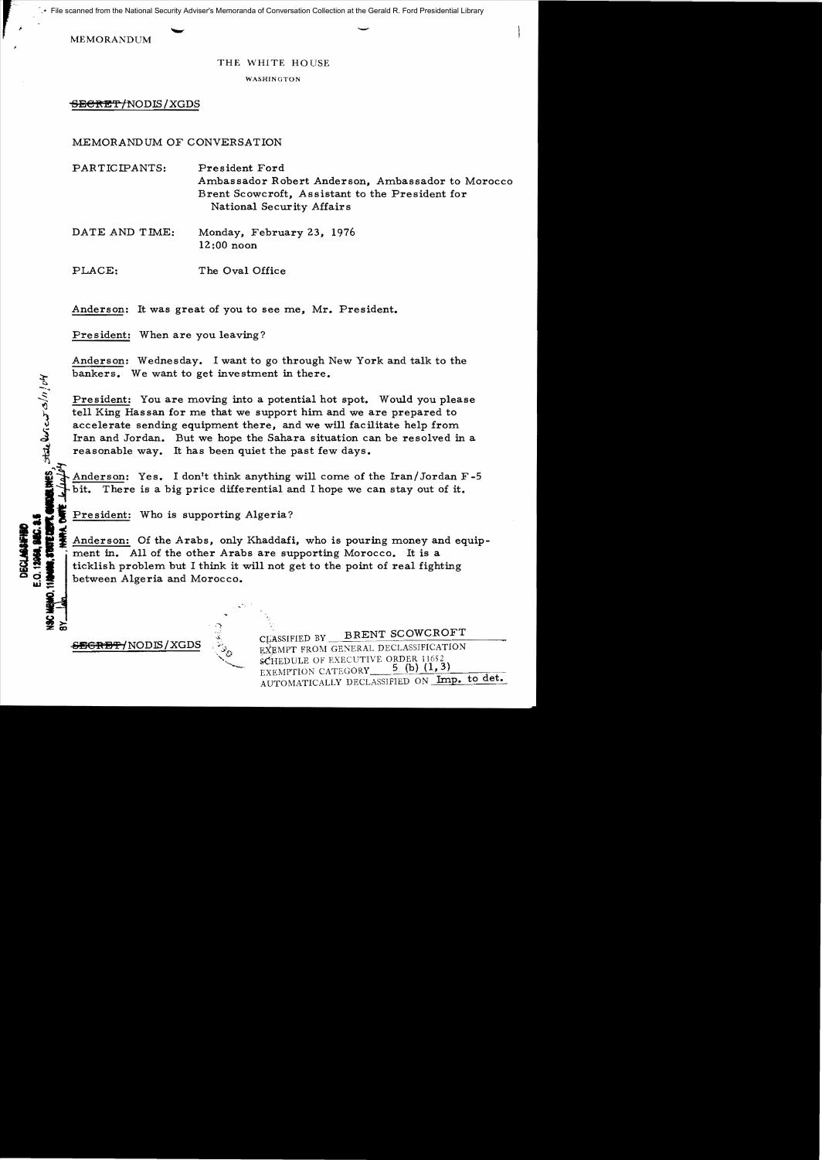File scanned from the National Security Adviser's Memoranda of Conversation Collection at the Gerald R. Ford Presidential Library<br>MEMORANDUM

## THE WHITE HOUSE

## WASHINGTON

 $\overline{\text{seerer}}$ /NODIS/XGDS

MEMORANDUM OF CONVERSATION

PARTICIPANTS: President Ford Ambassador Robert Anderson, Ambassador to Morocco Brent Scowcroft, Assistant to the President for National Security Affairs

DATE AND TIME: Monday, February 23, 1976 12:00 noon

PLACE: The Oval Office

Anderson: It was great of you to see me, Mr. President.

President: When are you leaving?

Anderson: Wednesday. I want to go through New York and talk to the bankers. We want to get investment in there.

President: You are moving into a potential hot spot. Would you please<br>tell King Hassan for me that we support him and we are prepared to<br>accelerate sending equipment there, and we will facilitate help from<br>Iran and Jordan. tell King Hassan for me that we support him and we are prepared to accelerate sending equipment there, and we will facilitate help from Iran and Jordan. But we hope the Sahara situation can be resolved in a reasonable way. It has been quiet the past few days.

Anderson: Yes. I don't think anything will come of the Iran/Jordan F-5 **bit.** There is a big price differential and I hope we can stay out of it.

President: Who is supporting Algeria?

Anderson: Of the Arabs, only Khaddafi, who is pouring money and equip-<br> **Mathematical** in. All of the other Arabs are supporting Morocco. It is a<br>
dicklish problem but I think it will not get to the point of real fighting<br> **11 Anderson:** Of the Arabs, only Khaddafi, who is pouring money and ed ment in. All of the other Arabs are supporting Morocco. It is a ticklish problem but I think it will not get to the point of real fighting between Alg between Algeria and Morocco.

.፻

**CLASSIFIED BY BRENT SCOWCROFT**<br>EXEMPT FROM GENERAL DECLASSIFICATION SCHEDULE OF EXECUTIVE ORDER 11652 5 (b)  $(1, 3)$ EXEMPTION CATEGORY AUTOMATICALLY DECLASSIFIED ON Imp. to det.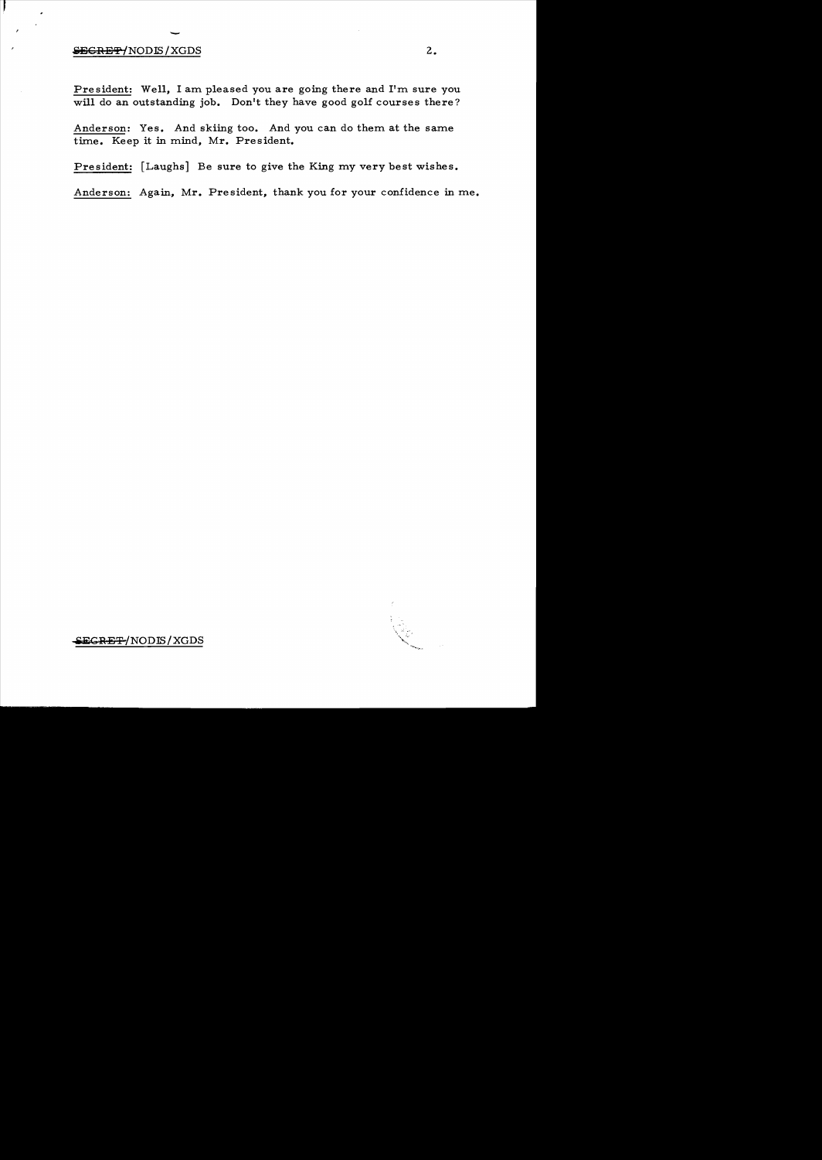## $\epsilon$ EGRET/NODIS/XGDS 2.

President: Well, I am pleased you are going there and I'm sure you will do an outstanding job. Don't they have good golf courses there?

Anderson: Yes. And skiing too. And you can do them at the same time. Keep it in mind, Mr. President.

President: [Laughs] Be sure to give the King my very best wishes.

Anderson: Again, Mr. President, thank you for your confidence in me.



• ECBEr;p-/NODIS / XGDS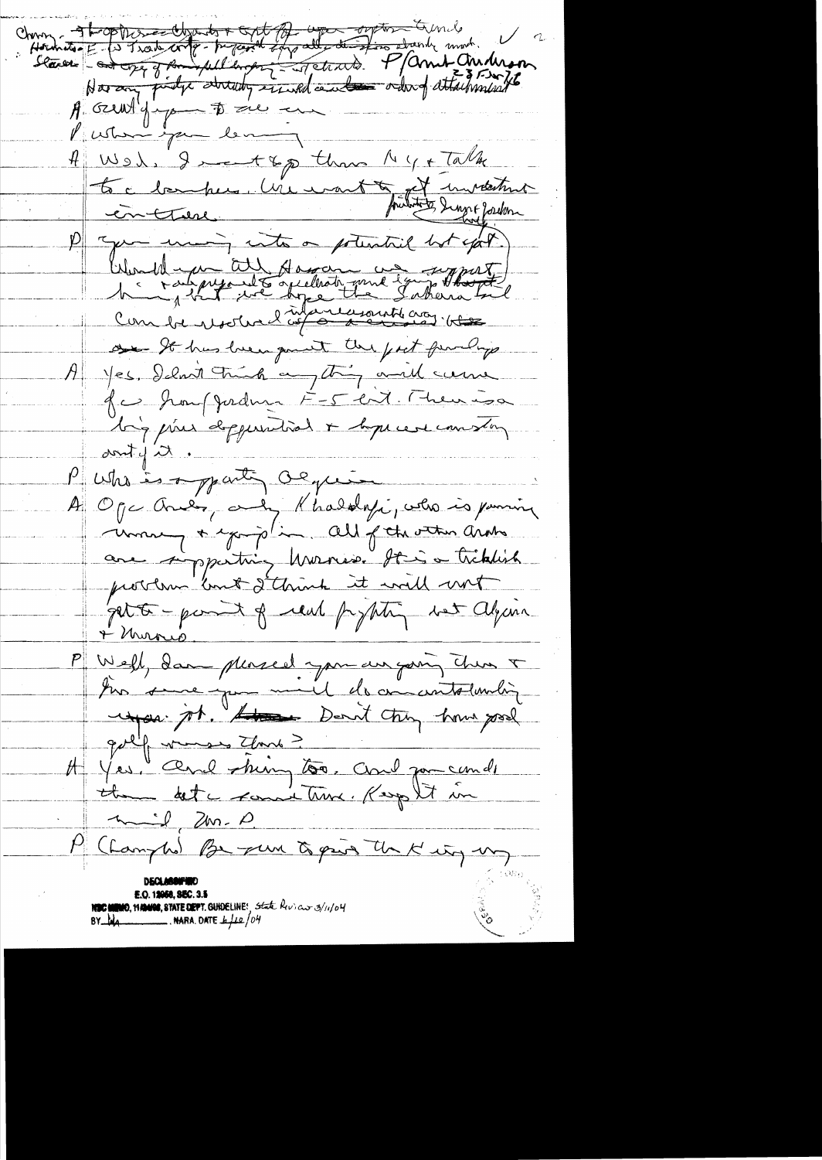Charment - The production of the comment of the mother of the content of the content of the content of the content of the content of the content of the content of the content of the content of the content of the content of  $\bigvee$  a Putunique les 4 West, I want &p than My + Talk to c bankers. Une mont to et invektion 1) you many into a potential but again, Would in the Hassan and Empart on It has luce quant the fact fundings A jes. I love trinh any thing and came Je houffordum F-5 ent. Theurisa lig pour deppendrat + lope cert coms long  $d$  and  $d$ Putis is apparting agreement A Oge Ané, au Khalolyi, velo is pomin are simparting Murris. Hai a tribuil pet to - parent of real prophetic wet alguna + Murris Well, dans plassed you au going then I tion some you mil de concentration dir He Yes, and thing too. and porcende <u>mil 2m. D</u> P (Lampho) Be pun to pain the K ity ung E.O. 12066, SEC. 3.5 NEC MEMO, 11 19400, STATE DEPT. GUIDELINE! State Reviews/11/04<br>BY LOG